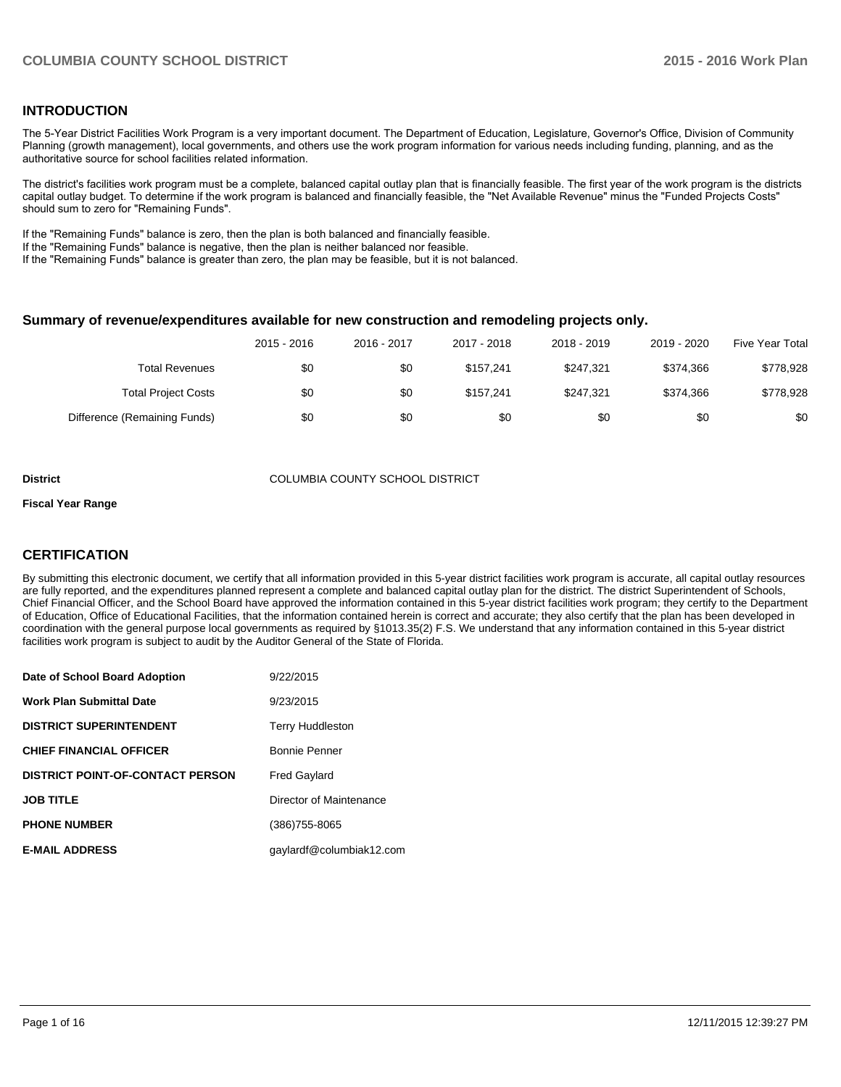#### **INTRODUCTION**

The 5-Year District Facilities Work Program is a very important document. The Department of Education, Legislature, Governor's Office, Division of Community Planning (growth management), local governments, and others use the work program information for various needs including funding, planning, and as the authoritative source for school facilities related information.

The district's facilities work program must be a complete, balanced capital outlay plan that is financially feasible. The first year of the work program is the districts capital outlay budget. To determine if the work program is balanced and financially feasible, the "Net Available Revenue" minus the "Funded Projects Costs" should sum to zero for "Remaining Funds".

If the "Remaining Funds" balance is zero, then the plan is both balanced and financially feasible.

If the "Remaining Funds" balance is negative, then the plan is neither balanced nor feasible.

If the "Remaining Funds" balance is greater than zero, the plan may be feasible, but it is not balanced.

#### **Summary of revenue/expenditures available for new construction and remodeling projects only.**

|                              | 2015 - 2016 | 2016 - 2017 | 2017 - 2018 | 2018 - 2019 | 2019 - 2020 | <b>Five Year Total</b> |
|------------------------------|-------------|-------------|-------------|-------------|-------------|------------------------|
| <b>Total Revenues</b>        | \$0         | \$0         | \$157.241   | \$247.321   | \$374.366   | \$778,928              |
| <b>Total Project Costs</b>   | \$0         | \$0         | \$157.241   | \$247.321   | \$374.366   | \$778,928              |
| Difference (Remaining Funds) | \$0         | \$0         | \$0         | \$0         | \$0         | \$0                    |

#### **District** COLUMBIA COUNTY SCHOOL DISTRICT

#### **Fiscal Year Range**

## **CERTIFICATION**

By submitting this electronic document, we certify that all information provided in this 5-year district facilities work program is accurate, all capital outlay resources are fully reported, and the expenditures planned represent a complete and balanced capital outlay plan for the district. The district Superintendent of Schools, Chief Financial Officer, and the School Board have approved the information contained in this 5-year district facilities work program; they certify to the Department of Education, Office of Educational Facilities, that the information contained herein is correct and accurate; they also certify that the plan has been developed in coordination with the general purpose local governments as required by §1013.35(2) F.S. We understand that any information contained in this 5-year district facilities work program is subject to audit by the Auditor General of the State of Florida.

| Date of School Board Adoption           | 9/22/2015                |
|-----------------------------------------|--------------------------|
| <b>Work Plan Submittal Date</b>         | 9/23/2015                |
| <b>DISTRICT SUPERINTENDENT</b>          | <b>Terry Huddleston</b>  |
| <b>CHIEF FINANCIAL OFFICER</b>          | <b>Bonnie Penner</b>     |
| <b>DISTRICT POINT-OF-CONTACT PERSON</b> | <b>Fred Gaylard</b>      |
| <b>JOB TITLE</b>                        | Director of Maintenance  |
| <b>PHONE NUMBER</b>                     | (386) 755-8065           |
| <b>E-MAIL ADDRESS</b>                   | gaylardf@columbiak12.com |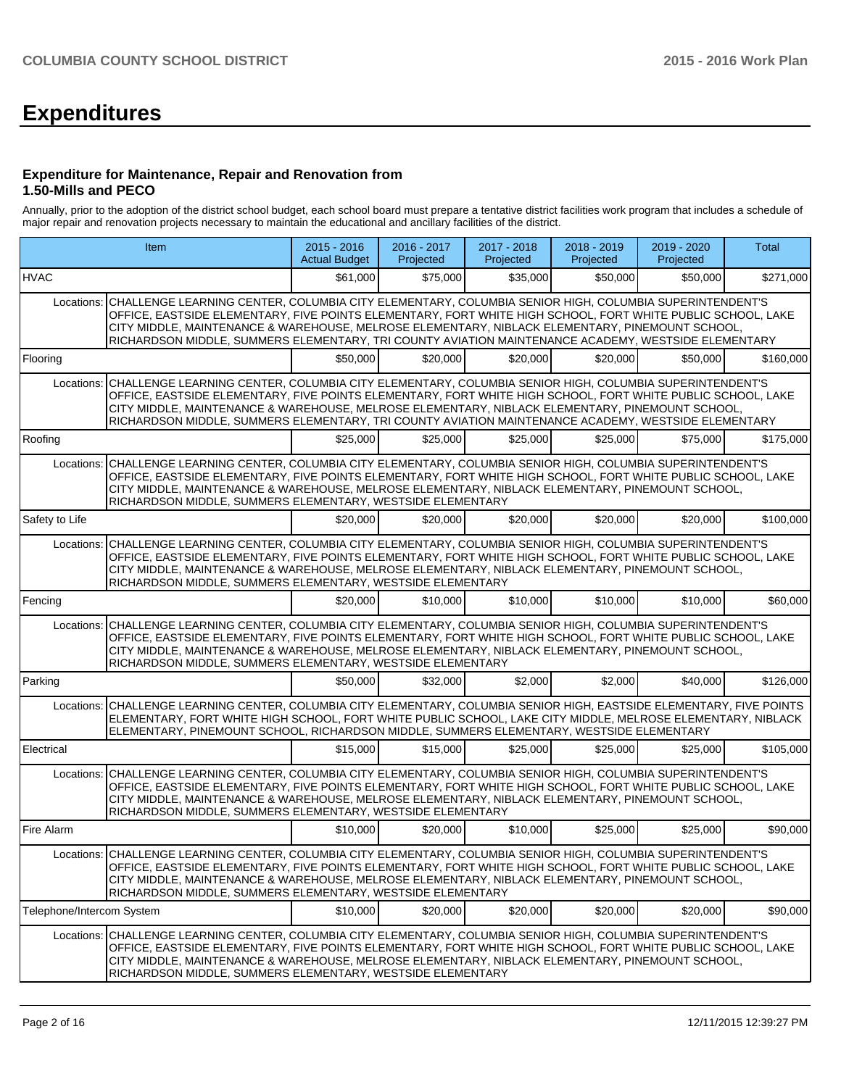# **Expenditures**

#### **Expenditure for Maintenance, Repair and Renovation from 1.50-Mills and PECO**

Annually, prior to the adoption of the district school budget, each school board must prepare a tentative district facilities work program that includes a schedule of major repair and renovation projects necessary to maintain the educational and ancillary facilities of the district.

|                           | Item                                                                                                                                                                                                                                                                                                                                                                                                                                     | 2015 - 2016<br><b>Actual Budget</b> | 2016 - 2017<br>Projected | 2017 - 2018<br>Projected | 2018 - 2019<br>Projected | 2019 - 2020<br>Projected | <b>Total</b> |  |  |  |  |  |
|---------------------------|------------------------------------------------------------------------------------------------------------------------------------------------------------------------------------------------------------------------------------------------------------------------------------------------------------------------------------------------------------------------------------------------------------------------------------------|-------------------------------------|--------------------------|--------------------------|--------------------------|--------------------------|--------------|--|--|--|--|--|
| <b>HVAC</b>               |                                                                                                                                                                                                                                                                                                                                                                                                                                          | \$61,000                            | \$75,000                 | \$35,000                 | \$50,000                 | \$50,000                 | \$271,000    |  |  |  |  |  |
|                           | Locations: CHALLENGE LEARNING CENTER, COLUMBIA CITY ELEMENTARY, COLUMBIA SENIOR HIGH, COLUMBIA SUPERINTENDENT'S<br>OFFICE, EASTSIDE ELEMENTARY, FIVE POINTS ELEMENTARY, FORT WHITE HIGH SCHOOL, FORT WHITE PUBLIC SCHOOL, LAKE<br>CITY MIDDLE, MAINTENANCE & WAREHOUSE, MELROSE ELEMENTARY, NIBLACK ELEMENTARY, PINEMOUNT SCHOOL,<br>RICHARDSON MIDDLE, SUMMERS ELEMENTARY, TRI COUNTY AVIATION MAINTENANCE ACADEMY, WESTSIDE ELEMENTARY |                                     |                          |                          |                          |                          |              |  |  |  |  |  |
| Flooring                  |                                                                                                                                                                                                                                                                                                                                                                                                                                          | \$50,000                            | \$20,000                 | \$20,000                 | \$20,000                 | \$50,000                 | \$160,000    |  |  |  |  |  |
|                           | Locations: CHALLENGE LEARNING CENTER, COLUMBIA CITY ELEMENTARY, COLUMBIA SENIOR HIGH, COLUMBIA SUPERINTENDENT'S<br>OFFICE, EASTSIDE ELEMENTARY, FIVE POINTS ELEMENTARY, FORT WHITE HIGH SCHOOL, FORT WHITE PUBLIC SCHOOL, LAKE<br>CITY MIDDLE, MAINTENANCE & WAREHOUSE, MELROSE ELEMENTARY, NIBLACK ELEMENTARY, PINEMOUNT SCHOOL,<br>RICHARDSON MIDDLE, SUMMERS ELEMENTARY, TRI COUNTY AVIATION MAINTENANCE ACADEMY, WESTSIDE ELEMENTARY |                                     |                          |                          |                          |                          |              |  |  |  |  |  |
| Roofing                   |                                                                                                                                                                                                                                                                                                                                                                                                                                          | \$25,000                            | \$25,000                 | \$25,000                 | \$25,000                 | \$75,000                 | \$175,000    |  |  |  |  |  |
| Locations:                | CHALLENGE LEARNING CENTER, COLUMBIA CITY ELEMENTARY, COLUMBIA SENIOR HIGH, COLUMBIA SUPERINTENDENT'S<br>OFFICE, EASTSIDE ELEMENTARY, FIVE POINTS ELEMENTARY, FORT WHITE HIGH SCHOOL, FORT WHITE PUBLIC SCHOOL, LAKE<br>CITY MIDDLE, MAINTENANCE & WAREHOUSE, MELROSE ELEMENTARY, NIBLACK ELEMENTARY, PINEMOUNT SCHOOL,<br>RICHARDSON MIDDLE, SUMMERS ELEMENTARY, WESTSIDE ELEMENTARY                                                     |                                     |                          |                          |                          |                          |              |  |  |  |  |  |
| Safety to Life            |                                                                                                                                                                                                                                                                                                                                                                                                                                          | \$20,000                            | \$20,000                 | \$20,000                 | \$20,000                 | \$20,000                 | \$100,000    |  |  |  |  |  |
| Locations:                | CHALLENGE LEARNING CENTER, COLUMBIA CITY ELEMENTARY, COLUMBIA SENIOR HIGH, COLUMBIA SUPERINTENDENT'S<br>OFFICE, EASTSIDE ELEMENTARY, FIVE POINTS ELEMENTARY, FORT WHITE HIGH SCHOOL, FORT WHITE PUBLIC SCHOOL, LAKE<br>CITY MIDDLE, MAINTENANCE & WAREHOUSE, MELROSE ELEMENTARY, NIBLACK ELEMENTARY, PINEMOUNT SCHOOL,<br>RICHARDSON MIDDLE, SUMMERS ELEMENTARY, WESTSIDE ELEMENTARY                                                     |                                     |                          |                          |                          |                          |              |  |  |  |  |  |
| Fencing                   |                                                                                                                                                                                                                                                                                                                                                                                                                                          | \$20,000                            | \$10,000                 | \$10,000                 | \$10,000                 | \$10,000                 | \$60,000     |  |  |  |  |  |
| Locations:                | CHALLENGE LEARNING CENTER, COLUMBIA CITY ELEMENTARY, COLUMBIA SENIOR HIGH, COLUMBIA SUPERINTENDENT'S<br>OFFICE, EASTSIDE ELEMENTARY, FIVE POINTS ELEMENTARY, FORT WHITE HIGH SCHOOL, FORT WHITE PUBLIC SCHOOL, LAKE<br>CITY MIDDLE, MAINTENANCE & WAREHOUSE, MELROSE ELEMENTARY, NIBLACK ELEMENTARY, PINEMOUNT SCHOOL,<br>RICHARDSON MIDDLE, SUMMERS ELEMENTARY, WESTSIDE ELEMENTARY                                                     |                                     |                          |                          |                          |                          |              |  |  |  |  |  |
| Parking                   |                                                                                                                                                                                                                                                                                                                                                                                                                                          | \$50,000                            | \$32,000                 | \$2,000                  | \$2,000                  | \$40,000                 | \$126,000    |  |  |  |  |  |
|                           | Locations: CHALLENGE LEARNING CENTER, COLUMBIA CITY ELEMENTARY, COLUMBIA SENIOR HIGH, EASTSIDE ELEMENTARY, FIVE POINTS<br>ELEMENTARY, FORT WHITE HIGH SCHOOL, FORT WHITE PUBLIC SCHOOL, LAKE CITY MIDDLE, MELROSE ELEMENTARY, NIBLACK<br>ELEMENTARY, PINEMOUNT SCHOOL, RICHARDSON MIDDLE, SUMMERS ELEMENTARY, WESTSIDE ELEMENTARY                                                                                                        |                                     |                          |                          |                          |                          |              |  |  |  |  |  |
| Electrical                |                                                                                                                                                                                                                                                                                                                                                                                                                                          | \$15,000                            | \$15,000                 | \$25,000                 | \$25,000                 | \$25,000                 | \$105,000    |  |  |  |  |  |
|                           | Locations: CHALLENGE LEARNING CENTER, COLUMBIA CITY ELEMENTARY, COLUMBIA SENIOR HIGH, COLUMBIA SUPERINTENDENT'S<br>OFFICE, EASTSIDE ELEMENTARY, FIVE POINTS ELEMENTARY, FORT WHITE HIGH SCHOOL, FORT WHITE PUBLIC SCHOOL, LAKE<br>CITY MIDDLE, MAINTENANCE & WAREHOUSE, MELROSE ELEMENTARY, NIBLACK ELEMENTARY, PINEMOUNT SCHOOL,<br>RICHARDSON MIDDLE, SUMMERS ELEMENTARY, WESTSIDE ELEMENTARY                                          |                                     |                          |                          |                          |                          |              |  |  |  |  |  |
| Fire Alarm                |                                                                                                                                                                                                                                                                                                                                                                                                                                          | \$10,000                            | \$20,000                 | \$10,000                 | \$25,000                 | \$25,000                 | \$90,000     |  |  |  |  |  |
|                           | Locations:  CHALLENGE LEARNING CENTER, COLUMBIA CITY ELEMENTARY, COLUMBIA SENIOR HIGH, COLUMBIA SUPERINTENDENT'S<br>OFFICE, EASTSIDE ELEMENTARY, FIVE POINTS ELEMENTARY, FORT WHITE HIGH SCHOOL, FORT WHITE PUBLIC SCHOOL, LAKE<br>CITY MIDDLE, MAINTENANCE & WAREHOUSE, MELROSE ELEMENTARY, NIBLACK ELEMENTARY, PINEMOUNT SCHOOL,<br>RICHARDSON MIDDLE, SUMMERS ELEMENTARY, WESTSIDE ELEMENTARY                                         |                                     |                          |                          |                          |                          |              |  |  |  |  |  |
| Telephone/Intercom System |                                                                                                                                                                                                                                                                                                                                                                                                                                          | \$10,000                            | \$20,000                 | \$20,000                 | \$20,000                 | \$20,000                 | \$90,000     |  |  |  |  |  |
|                           | Locations: CHALLENGE LEARNING CENTER, COLUMBIA CITY ELEMENTARY, COLUMBIA SENIOR HIGH, COLUMBIA SUPERINTENDENT'S<br>OFFICE, EASTSIDE ELEMENTARY, FIVE POINTS ELEMENTARY, FORT WHITE HIGH SCHOOL, FORT WHITE PUBLIC SCHOOL, LAKE<br>CITY MIDDLE, MAINTENANCE & WAREHOUSE, MELROSE ELEMENTARY, NIBLACK ELEMENTARY, PINEMOUNT SCHOOL,<br>RICHARDSON MIDDLE, SUMMERS ELEMENTARY, WESTSIDE ELEMENTARY                                          |                                     |                          |                          |                          |                          |              |  |  |  |  |  |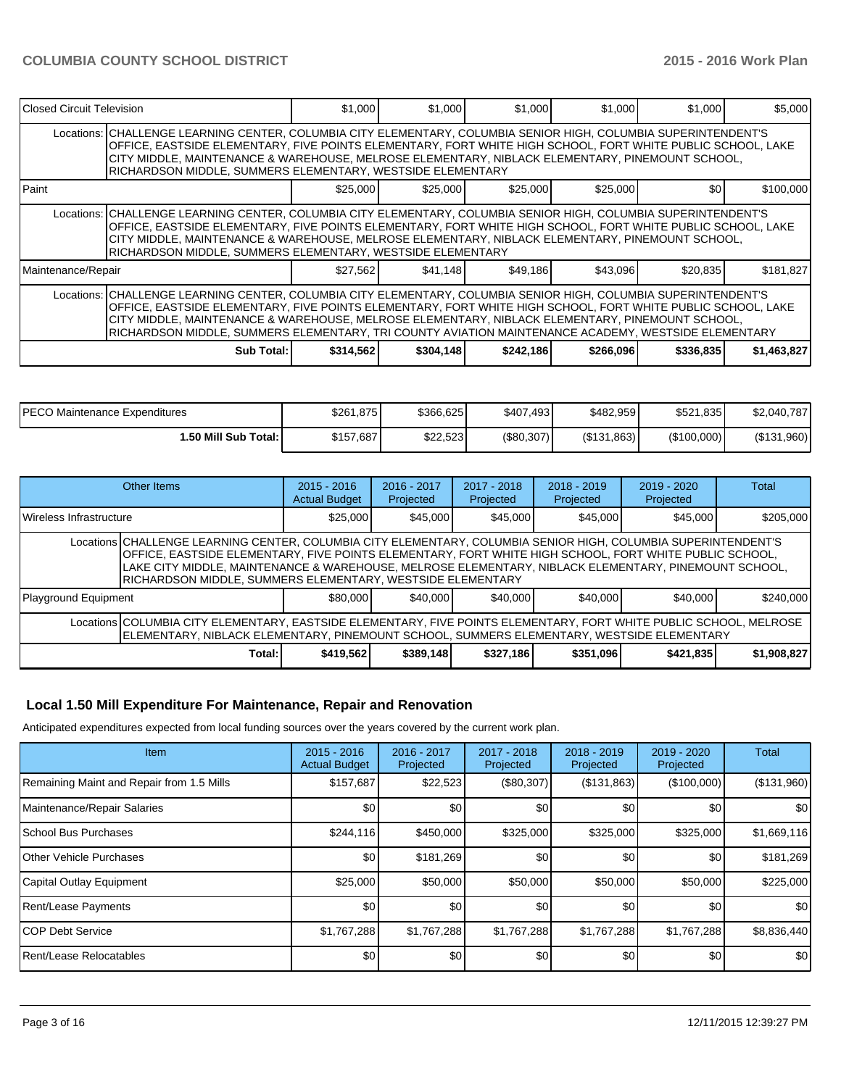| Closed Circuit Television                                                                                                                                                                                                                                                                                                                                                                                                                |                                                                                                                                                                                                                                                                                                                                                                                                  | \$1,000   | \$1,000   | \$1,000   | \$1,000   | \$1,000   | \$5,000     |  |  |  |  |
|------------------------------------------------------------------------------------------------------------------------------------------------------------------------------------------------------------------------------------------------------------------------------------------------------------------------------------------------------------------------------------------------------------------------------------------|--------------------------------------------------------------------------------------------------------------------------------------------------------------------------------------------------------------------------------------------------------------------------------------------------------------------------------------------------------------------------------------------------|-----------|-----------|-----------|-----------|-----------|-------------|--|--|--|--|
|                                                                                                                                                                                                                                                                                                                                                                                                                                          | Locations:  CHALLENGE LEARNING CENTER, COLUMBIA CITY ELEMENTARY, COLUMBIA SENIOR HIGH, COLUMBIA SUPERINTENDENT'S<br>OFFICE, EASTSIDE ELEMENTARY, FIVE POINTS ELEMENTARY, FORT WHITE HIGH SCHOOL, FORT WHITE PUBLIC SCHOOL, LAKE<br>CITY MIDDLE, MAINTENANCE & WAREHOUSE, MELROSE ELEMENTARY, NIBLACK ELEMENTARY, PINEMOUNT SCHOOL,<br>RICHARDSON MIDDLE, SUMMERS ELEMENTARY, WESTSIDE ELEMENTARY |           |           |           |           |           |             |  |  |  |  |
| <b>Paint</b>                                                                                                                                                                                                                                                                                                                                                                                                                             |                                                                                                                                                                                                                                                                                                                                                                                                  | \$25,000  | \$25,000  | \$25,000  | \$25,000  | \$0       | \$100,000   |  |  |  |  |
|                                                                                                                                                                                                                                                                                                                                                                                                                                          | Locations:  CHALLENGE LEARNING CENTER, COLUMBIA CITY ELEMENTARY, COLUMBIA SENIOR HIGH, COLUMBIA SUPERINTENDENT'S<br>OFFICE, EASTSIDE ELEMENTARY, FIVE POINTS ELEMENTARY, FORT WHITE HIGH SCHOOL, FORT WHITE PUBLIC SCHOOL, LAKE<br>CITY MIDDLE, MAINTENANCE & WAREHOUSE, MELROSE ELEMENTARY, NIBLACK ELEMENTARY, PINEMOUNT SCHOOL,<br>RICHARDSON MIDDLE, SUMMERS ELEMENTARY, WESTSIDE ELEMENTARY |           |           |           |           |           |             |  |  |  |  |
| Maintenance/Repair                                                                                                                                                                                                                                                                                                                                                                                                                       |                                                                                                                                                                                                                                                                                                                                                                                                  | \$27,562  | \$41,148  | \$49,186  | \$43,096  | \$20,835  | \$181,827   |  |  |  |  |
| Locations: CHALLENGE LEARNING CENTER, COLUMBIA CITY ELEMENTARY, COLUMBIA SENIOR HIGH, COLUMBIA SUPERINTENDENT'S<br>OFFICE, EASTSIDE ELEMENTARY, FIVE POINTS ELEMENTARY, FORT WHITE HIGH SCHOOL, FORT WHITE PUBLIC SCHOOL, LAKE<br>CITY MIDDLE, MAINTENANCE & WAREHOUSE, MELROSE ELEMENTARY, NIBLACK ELEMENTARY, PINEMOUNT SCHOOL,<br>RICHARDSON MIDDLE, SUMMERS ELEMENTARY, TRI COUNTY AVIATION MAINTENANCE ACADEMY, WESTSIDE ELEMENTARY |                                                                                                                                                                                                                                                                                                                                                                                                  |           |           |           |           |           |             |  |  |  |  |
|                                                                                                                                                                                                                                                                                                                                                                                                                                          | Sub Total: I                                                                                                                                                                                                                                                                                                                                                                                     | \$314,562 | \$304,148 | \$242,186 | \$266,096 | \$336,835 | \$1,463,827 |  |  |  |  |

| <b>PECO Maintenance Expenditures</b> | \$261,875 | \$366,625 | \$407,493  | \$482,959   | \$521,835   | \$2,040,787 |
|--------------------------------------|-----------|-----------|------------|-------------|-------------|-------------|
| 1.50 Mill Sub Total: I               | \$157,687 | \$22,523  | (\$80,307) | (\$131,863) | (\$100,000) | (\$131,960) |

| Other Items             |                                                                                                                                                                                                                                                                                                                                                                                                | $2015 - 2016$<br><b>Actual Budget</b> | $2016 - 2017$<br>Projected | 2017 - 2018<br>Projected | $2018 - 2019$<br>Projected | $2019 - 2020$<br>Projected | Total       |  |  |
|-------------------------|------------------------------------------------------------------------------------------------------------------------------------------------------------------------------------------------------------------------------------------------------------------------------------------------------------------------------------------------------------------------------------------------|---------------------------------------|----------------------------|--------------------------|----------------------------|----------------------------|-------------|--|--|
| Wireless Infrastructure |                                                                                                                                                                                                                                                                                                                                                                                                | \$25,000                              | \$45,000                   | \$45,000                 | \$45,000                   | \$45,000                   | \$205,000   |  |  |
|                         | Locations CHALLENGE LEARNING CENTER, COLUMBIA CITY ELEMENTARY, COLUMBIA SENIOR HIGH, COLUMBIA SUPERINTENDENT'S<br>OFFICE, EASTSIDE ELEMENTARY, FIVE POINTS ELEMENTARY, FORT WHITE HIGH SCHOOL, FORT WHITE PUBLIC SCHOOL,<br>LAKE CITY MIDDLE, MAINTENANCE & WAREHOUSE, MELROSE ELEMENTARY, NIBLACK ELEMENTARY, PINEMOUNT SCHOOL,<br>RICHARDSON MIDDLE, SUMMERS ELEMENTARY, WESTSIDE ELEMENTARY |                                       |                            |                          |                            |                            |             |  |  |
| Playground Equipment    |                                                                                                                                                                                                                                                                                                                                                                                                | \$80,000                              | \$40,000                   | \$40,000                 | \$40,000                   | \$40,000                   | \$240,000   |  |  |
|                         | Locations COLUMBIA CITY ELEMENTARY, EASTSIDE ELEMENTARY, FIVE POINTS ELEMENTARY, FORT WHITE PUBLIC SCHOOL, MELROSE<br>ELEMENTARY, NIBLACK ELEMENTARY, PINEMOUNT SCHOOL, SUMMERS ELEMENTARY, WESTSIDE ELEMENTARY                                                                                                                                                                                |                                       |                            |                          |                            |                            |             |  |  |
|                         | Total:                                                                                                                                                                                                                                                                                                                                                                                         | \$419,562                             | \$389,148                  | \$327,186                | \$351,096                  | \$421,835                  | \$1,908,827 |  |  |

# **Local 1.50 Mill Expenditure For Maintenance, Repair and Renovation**

Anticipated expenditures expected from local funding sources over the years covered by the current work plan.

| Item                                      | $2015 - 2016$<br><b>Actual Budget</b> | 2016 - 2017<br>Projected | 2017 - 2018<br>Projected | $2018 - 2019$<br>Projected | $2019 - 2020$<br>Projected | Total       |
|-------------------------------------------|---------------------------------------|--------------------------|--------------------------|----------------------------|----------------------------|-------------|
| Remaining Maint and Repair from 1.5 Mills | \$157,687                             | \$22,523                 | (\$80,307)               | (\$131,863)                | (\$100,000)                | (\$131,960) |
| Maintenance/Repair Salaries               | \$0                                   | \$0                      | \$0                      | \$0                        | \$0                        | <b>\$01</b> |
| <b>School Bus Purchases</b>               | \$244,116                             | \$450,000                | \$325,000                | \$325,000                  | \$325,000                  | \$1,669,116 |
| <b>Other Vehicle Purchases</b>            | \$0                                   | \$181,269                | \$0                      | \$0                        | \$0                        | \$181,269   |
| Capital Outlay Equipment                  | \$25,000                              | \$50,000                 | \$50,000                 | \$50,000                   | \$50,000                   | \$225,000   |
| Rent/Lease Payments                       | \$0                                   | \$0                      | \$0                      | \$0                        | \$0                        | <b>\$01</b> |
| ICOP Debt Service                         | \$1,767,288                           | \$1,767,288              | \$1,767,288              | \$1,767,288                | \$1,767,288                | \$8,836,440 |
| Rent/Lease Relocatables                   | \$0                                   | \$0                      | \$0                      | \$0                        | \$0                        | \$0         |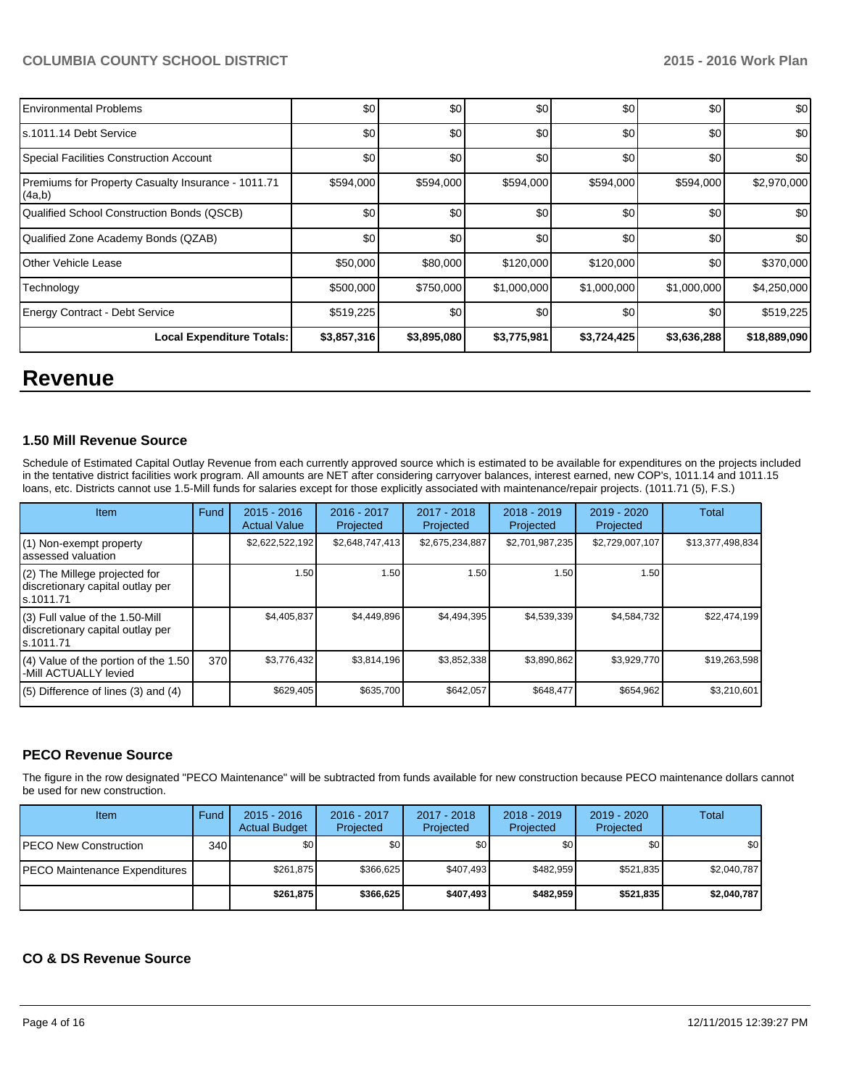| <b>Local Expenditure Totals:</b>                             | \$3,857,316 | \$3,895,080 | \$3,775,981 | \$3,724,425 | \$3,636,288 | \$18,889,090     |
|--------------------------------------------------------------|-------------|-------------|-------------|-------------|-------------|------------------|
| <b>Energy Contract - Debt Service</b>                        | \$519,225   | \$0         | \$0         | \$0         | \$0         | \$519,225        |
| Technology                                                   | \$500,000   | \$750,000   | \$1,000,000 | \$1,000,000 | \$1,000,000 | \$4,250,000      |
| Other Vehicle Lease                                          | \$50,000    | \$80,000    | \$120,000   | \$120,000   | \$0         | \$370,000        |
| Qualified Zone Academy Bonds (QZAB)                          | \$0         | \$0         | \$0         | \$0         | \$0         | \$0              |
| Qualified School Construction Bonds (QSCB)                   | \$0         | \$0         | \$0         | \$0         | \$0         | \$0 <sub>1</sub> |
| Premiums for Property Casualty Insurance - 1011.71<br>(4a,b) | \$594,000   | \$594,000   | \$594,000   | \$594,000   | \$594,000   | \$2,970,000      |
| Special Facilities Construction Account                      | \$0         | \$0         | \$0         | \$0         | \$0         | \$0 <sub>1</sub> |
| s.1011.14 Debt Service                                       | \$0         | \$0         | \$0         | \$0         | \$0         | \$0              |
| <b>Environmental Problems</b>                                | \$0         | \$0         | \$0         | \$0         | \$0         | \$0              |

# **Revenue**

### **1.50 Mill Revenue Source**

Schedule of Estimated Capital Outlay Revenue from each currently approved source which is estimated to be available for expenditures on the projects included in the tentative district facilities work program. All amounts are NET after considering carryover balances, interest earned, new COP's, 1011.14 and 1011.15 loans, etc. Districts cannot use 1.5-Mill funds for salaries except for those explicitly associated with maintenance/repair projects. (1011.71 (5), F.S.)

| Item                                                                             | Fund | $2015 - 2016$<br><b>Actual Value</b> | $2016 - 2017$<br>Projected | 2017 - 2018<br>Projected | $2018 - 2019$<br>Projected | $2019 - 2020$<br>Projected | Total            |
|----------------------------------------------------------------------------------|------|--------------------------------------|----------------------------|--------------------------|----------------------------|----------------------------|------------------|
| (1) Non-exempt property<br>assessed valuation                                    |      | \$2,622,522,192                      | \$2,648,747,413            | \$2,675,234,887          | \$2,701,987,235            | \$2,729,007,107            | \$13,377,498,834 |
| (2) The Millege projected for<br>discretionary capital outlay per<br>s.1011.71   |      | 1.50                                 | 1.50 I                     | 1.50                     | 1.50                       | 1.50                       |                  |
| (3) Full value of the 1.50-Mill<br>discretionary capital outlay per<br>s.1011.71 |      | \$4,405,837                          | \$4,449,896                | \$4,494,395              | \$4,539,339                | \$4,584,732                | \$22,474,199     |
| (4) Value of the portion of the 1.50<br>-Mill ACTUALLY levied                    | 370  | \$3,776,432                          | \$3,814,196                | \$3,852,338              | \$3,890,862                | \$3,929,770                | \$19,263,598     |
| $(5)$ Difference of lines (3) and (4)                                            |      | \$629,405                            | \$635,700                  | \$642,057                | \$648,477                  | \$654,962                  | \$3,210,601      |

# **PECO Revenue Source**

The figure in the row designated "PECO Maintenance" will be subtracted from funds available for new construction because PECO maintenance dollars cannot be used for new construction.

| Item                          | Fund | $2015 - 2016$<br><b>Actual Budget</b> | 2016 - 2017<br>Projected | 2017 - 2018<br>Projected | $2018 - 2019$<br>Projected | $2019 - 2020$<br>Projected | Total       |
|-------------------------------|------|---------------------------------------|--------------------------|--------------------------|----------------------------|----------------------------|-------------|
| IPECO New Construction        | 340  | \$0                                   | \$0 <sub>1</sub>         | \$0                      | \$0                        | \$0                        | \$0         |
| PECO Maintenance Expenditures |      | \$261.875                             | \$366.625                | \$407.493                | \$482.959                  | \$521.835                  | \$2.040.787 |
|                               |      | \$261.875                             | \$366,625                | \$407.493                | \$482.959                  | \$521.835                  | \$2.040.787 |

### **CO & DS Revenue Source**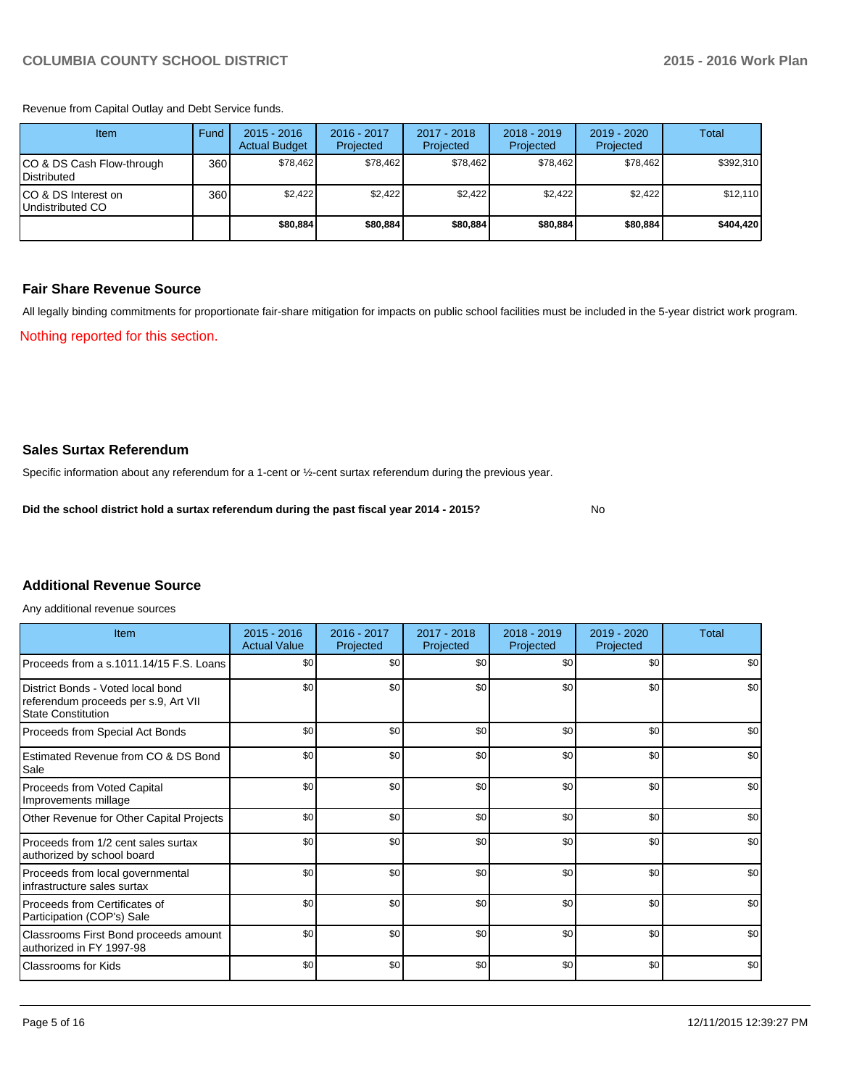Revenue from Capital Outlay and Debt Service funds.

| Item                                               | Fund | $2015 - 2016$<br><b>Actual Budget</b> | 2016 - 2017<br>Projected | $2017 - 2018$<br>Projected | $2018 - 2019$<br>Projected | 2019 - 2020<br>Projected | Total     |
|----------------------------------------------------|------|---------------------------------------|--------------------------|----------------------------|----------------------------|--------------------------|-----------|
| ICO & DS Cash Flow-through<br><b>I</b> Distributed | 360  | \$78.462                              | \$78,462                 | \$78,462                   | \$78.462                   | \$78.462                 | \$392,310 |
| ICO & DS Interest on<br>Undistributed CO           | 360  | \$2,422                               | \$2,422                  | \$2,422                    | \$2,422                    | \$2,422                  | \$12,110  |
|                                                    |      | \$80,884                              | \$80,884                 | \$80,884                   | \$80,884                   | \$80,884                 | \$404,420 |

#### **Fair Share Revenue Source**

Nothing reported for this section. All legally binding commitments for proportionate fair-share mitigation for impacts on public school facilities must be included in the 5-year district work program.

**Sales Surtax Referendum**

Specific information about any referendum for a 1-cent or ½-cent surtax referendum during the previous year.

**Did the school district hold a surtax referendum during the past fiscal year 2014 - 2015?**

No

# **Additional Revenue Source**

Any additional revenue sources

| Item                                                                                                   | $2015 - 2016$<br><b>Actual Value</b> | 2016 - 2017<br>Projected | 2017 - 2018<br>Projected | $2018 - 2019$<br>Projected | 2019 - 2020<br>Projected | Total |
|--------------------------------------------------------------------------------------------------------|--------------------------------------|--------------------------|--------------------------|----------------------------|--------------------------|-------|
| Proceeds from a s.1011.14/15 F.S. Loans                                                                | \$0                                  | \$0                      | \$0                      | \$0                        | \$0                      | \$0   |
| District Bonds - Voted local bond<br>referendum proceeds per s.9, Art VII<br><b>State Constitution</b> | \$0                                  | \$0                      | \$0                      | \$0                        | \$0                      | \$0   |
| Proceeds from Special Act Bonds                                                                        | \$0                                  | \$0                      | \$0                      | \$0                        | \$0                      | \$0   |
| Estimated Revenue from CO & DS Bond<br>Sale                                                            | \$0                                  | \$0                      | \$0                      | \$0                        | \$0                      | \$0   |
| <b>Proceeds from Voted Capital</b><br>Improvements millage                                             | \$0                                  | \$0                      | \$0                      | \$0                        | \$0                      | \$0   |
| Other Revenue for Other Capital Projects                                                               | \$0                                  | \$0                      | \$0                      | \$0                        | \$0                      | \$0   |
| Proceeds from 1/2 cent sales surtax<br>authorized by school board                                      | \$0                                  | \$0                      | \$0                      | \$0                        | \$0                      | \$0   |
| Proceeds from local governmental<br>infrastructure sales surtax                                        | \$0                                  | \$0                      | \$0                      | \$0                        | \$0                      | \$0   |
| Proceeds from Certificates of<br>Participation (COP's) Sale                                            | \$0                                  | \$0                      | \$0                      | \$0                        | \$0                      | \$0   |
| Classrooms First Bond proceeds amount<br>authorized in FY 1997-98                                      | \$0                                  | \$0                      | \$0                      | \$0                        | \$0                      | \$0   |
| <b>Classrooms for Kids</b>                                                                             | \$0                                  | \$0                      | \$0                      | \$0                        | \$0                      | \$0   |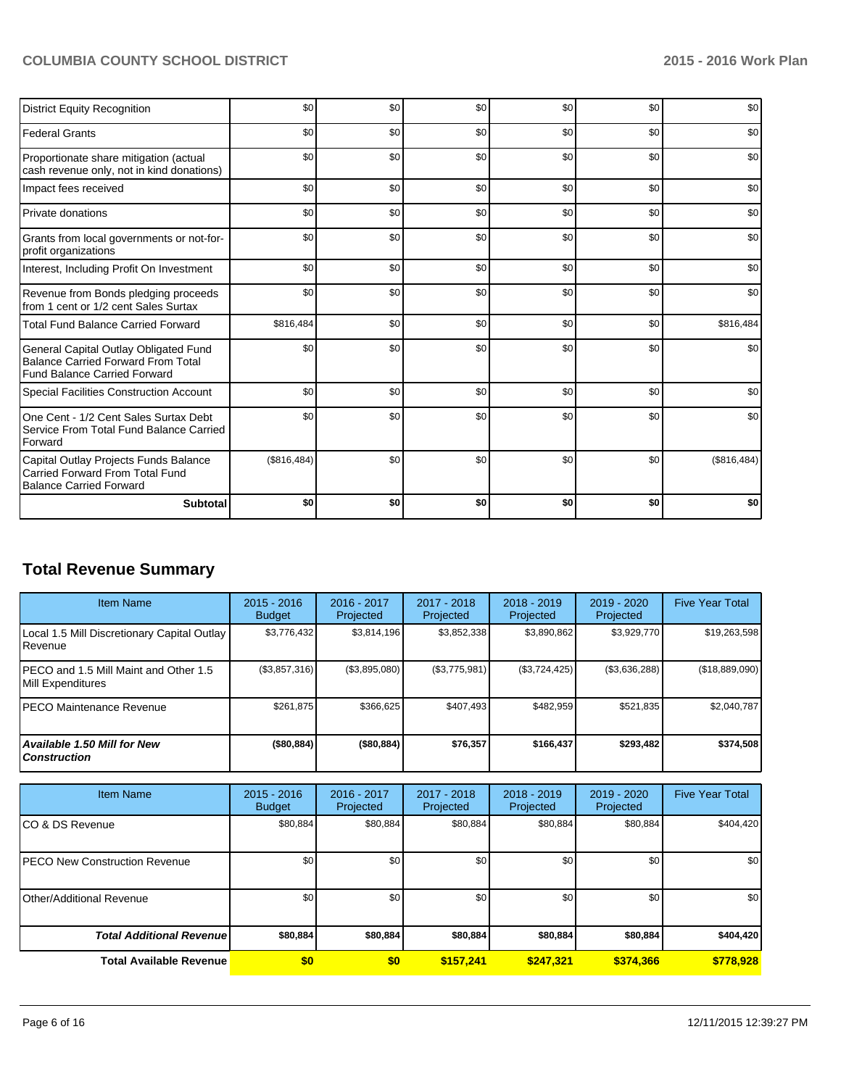| <b>District Equity Recognition</b>                                                                                        | \$0         | \$0 | \$0 | \$0              | \$0 | \$0         |
|---------------------------------------------------------------------------------------------------------------------------|-------------|-----|-----|------------------|-----|-------------|
| <b>Federal Grants</b>                                                                                                     | \$0         | \$0 | \$0 | \$0              | \$0 | \$0         |
| Proportionate share mitigation (actual<br>cash revenue only, not in kind donations)                                       | \$0         | \$0 | \$0 | \$0              | \$0 | \$0         |
| Impact fees received                                                                                                      | \$0         | \$0 | \$0 | \$0              | \$0 | \$0         |
| Private donations                                                                                                         | \$0         | \$0 | \$0 | \$0              | \$0 | \$0         |
| Grants from local governments or not-for-<br>profit organizations                                                         | \$0         | \$0 | \$0 | \$0              | \$0 | \$0         |
| Interest, Including Profit On Investment                                                                                  | \$0         | \$0 | \$0 | \$0              | \$0 | \$0         |
| Revenue from Bonds pledging proceeds<br>from 1 cent or 1/2 cent Sales Surtax                                              | \$0         | \$0 | \$0 | \$0              | \$0 | \$0         |
| <b>Total Fund Balance Carried Forward</b>                                                                                 | \$816,484   | \$0 | \$0 | \$0              | \$0 | \$816,484   |
| General Capital Outlay Obligated Fund<br><b>Balance Carried Forward From Total</b><br><b>Fund Balance Carried Forward</b> | \$0         | \$0 | \$0 | \$0              | \$0 | \$0         |
| <b>Special Facilities Construction Account</b>                                                                            | \$0         | \$0 | \$0 | \$0              | \$0 | \$0         |
| One Cent - 1/2 Cent Sales Surtax Debt<br>Service From Total Fund Balance Carried<br>Forward                               | \$0         | \$0 | \$0 | $s$ <sub>0</sub> | \$0 | \$0         |
| Capital Outlay Projects Funds Balance<br>Carried Forward From Total Fund<br><b>Balance Carried Forward</b>                | (\$816,484) | \$0 | \$0 | \$0              | \$0 | (\$816,484) |
| <b>Subtotal</b>                                                                                                           | \$0         | \$0 | \$0 | \$0              | \$0 | \$0         |

# **Total Revenue Summary**

| <b>Item Name</b>                                                | $2015 - 2016$<br><b>Budget</b> | 2016 - 2017<br>Projected | 2017 - 2018<br>Projected | $2018 - 2019$<br>Projected | 2019 - 2020<br>Projected | <b>Five Year Total</b> |
|-----------------------------------------------------------------|--------------------------------|--------------------------|--------------------------|----------------------------|--------------------------|------------------------|
| Local 1.5 Mill Discretionary Capital Outlay<br><b>I</b> Revenue | \$3,776,432                    | \$3,814,196              | \$3,852,338              | \$3,890,862                | \$3,929,770              | \$19,263,598           |
| IPECO and 1.5 Mill Maint and Other 1.5<br>Mill Expenditures     | (\$3,857,316)                  | (\$3,895,080)            | (\$3,775,981)            | (S3, 724, 425)             | (\$3,636,288)            | (\$18,889,090)         |
| IPECO Maintenance Revenue                                       | \$261.875                      | \$366.625                | \$407.493                | \$482.959                  | \$521.835                | \$2,040,787            |
| Available 1.50 Mill for New l<br>l Construction                 | (\$80,884)                     | (\$80,884)               | \$76,357                 | \$166,437                  | \$293.482                | \$374,508              |

| <b>Item Name</b>                      | $2015 - 2016$<br><b>Budget</b> | 2016 - 2017<br>Projected | $2017 - 2018$<br>Projected | 2018 - 2019<br>Projected | 2019 - 2020<br>Projected | <b>Five Year Total</b> |
|---------------------------------------|--------------------------------|--------------------------|----------------------------|--------------------------|--------------------------|------------------------|
| ICO & DS Revenue                      | \$80,884                       | \$80,884                 | \$80,884                   | \$80,884                 | \$80,884                 | \$404,420              |
| <b>IPECO New Construction Revenue</b> | \$0                            | \$0                      | \$0                        | \$0                      | \$0                      | \$0                    |
| IOther/Additional Revenue             | \$0                            | \$0                      | \$0                        | \$0                      | \$0                      | \$0                    |
| <b>Total Additional Revenuel</b>      | \$80,884                       | \$80,884                 | \$80,884                   | \$80,884                 | \$80,884                 | \$404,420              |
| <b>Total Available Revenue</b>        | \$0                            | \$0                      | \$157,241                  | \$247.321                | \$374,366                | \$778,928              |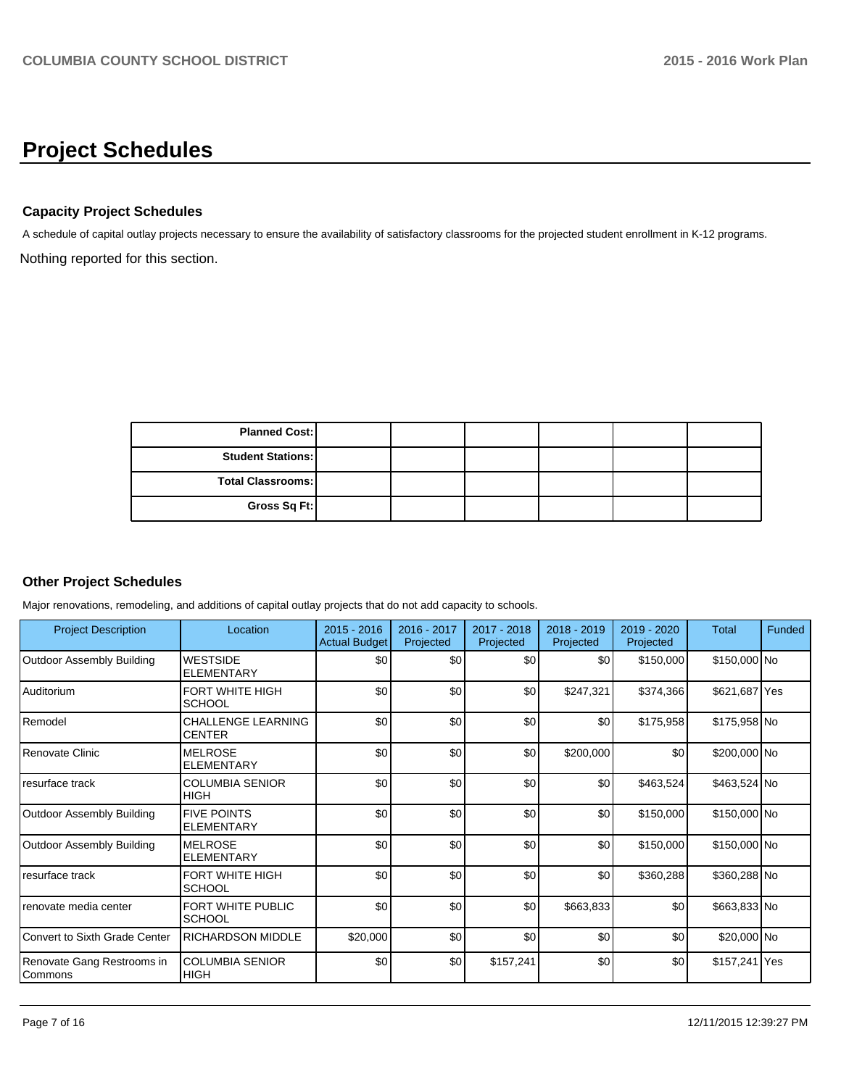# **Project Schedules**

### **Capacity Project Schedules**

Nothing reported for this section. A schedule of capital outlay projects necessary to ensure the availability of satisfactory classrooms for the projected student enrollment in K-12 programs.

| <b>Planned Cost:</b>     |  |  |  |
|--------------------------|--|--|--|
| <b>Student Stations:</b> |  |  |  |
| <b>Total Classrooms:</b> |  |  |  |
| Gross Sq Ft:             |  |  |  |

# **Other Project Schedules**

Major renovations, remodeling, and additions of capital outlay projects that do not add capacity to schools.

| <b>Project Description</b>            | Location                                   | $2015 - 2016$<br><b>Actual Budget</b> | 2016 - 2017<br>Projected | $2017 - 2018$<br>Projected | $2018 - 2019$<br>Projected | $2019 - 2020$<br>Projected | <b>Total</b>  | Funded |
|---------------------------------------|--------------------------------------------|---------------------------------------|--------------------------|----------------------------|----------------------------|----------------------------|---------------|--------|
| Outdoor Assembly Building             | <b>WESTSIDE</b><br><b>ELEMENTARY</b>       | \$0                                   | \$0                      | \$0                        | \$0                        | \$150,000                  | \$150,000 No  |        |
| Auditorium                            | <b>FORT WHITE HIGH</b><br><b>SCHOOL</b>    | \$0                                   | \$0                      | \$0                        | \$247,321                  | \$374,366                  | \$621,687 Yes |        |
| Remodel                               | <b>CHALLENGE LEARNING</b><br><b>CENTER</b> | \$0                                   | \$0                      | \$0                        | \$0                        | \$175,958                  | \$175,958 No  |        |
| Renovate Clinic                       | <b>MELROSE</b><br><b>ELEMENTARY</b>        | \$0                                   | \$0                      | \$0                        | \$200,000                  | \$0                        | \$200,000 No  |        |
| resurface track                       | <b>COLUMBIA SENIOR</b><br><b>HIGH</b>      | \$0                                   | \$0                      | \$0                        | \$0                        | \$463,524                  | \$463,524 No  |        |
| Outdoor Assembly Building             | <b>FIVE POINTS</b><br><b>ELEMENTARY</b>    | \$0                                   | \$0                      | \$0                        | \$0                        | \$150,000                  | \$150,000 No  |        |
| <b>Outdoor Assembly Building</b>      | <b>MELROSE</b><br><b>ELEMENTARY</b>        | \$0                                   | \$0                      | \$0                        | \$0                        | \$150,000                  | \$150,000 No  |        |
| resurface track                       | FORT WHITE HIGH<br><b>SCHOOL</b>           | \$0                                   | \$0                      | \$0                        | \$0                        | \$360,288                  | \$360,288 No  |        |
| renovate media center                 | <b>FORT WHITE PUBLIC</b><br><b>SCHOOL</b>  | \$0                                   | \$0                      | \$0                        | \$663,833                  | \$0                        | \$663,833 No  |        |
| Convert to Sixth Grade Center         | <b>RICHARDSON MIDDLE</b>                   | \$20,000                              | \$0                      | \$0                        | \$0                        | \$0                        | \$20,000 No   |        |
| Renovate Gang Restrooms in<br>Commons | <b>COLUMBIA SENIOR</b><br><b>HIGH</b>      | \$0                                   | \$0                      | \$157,241                  | \$0                        | \$0                        | \$157,241 Yes |        |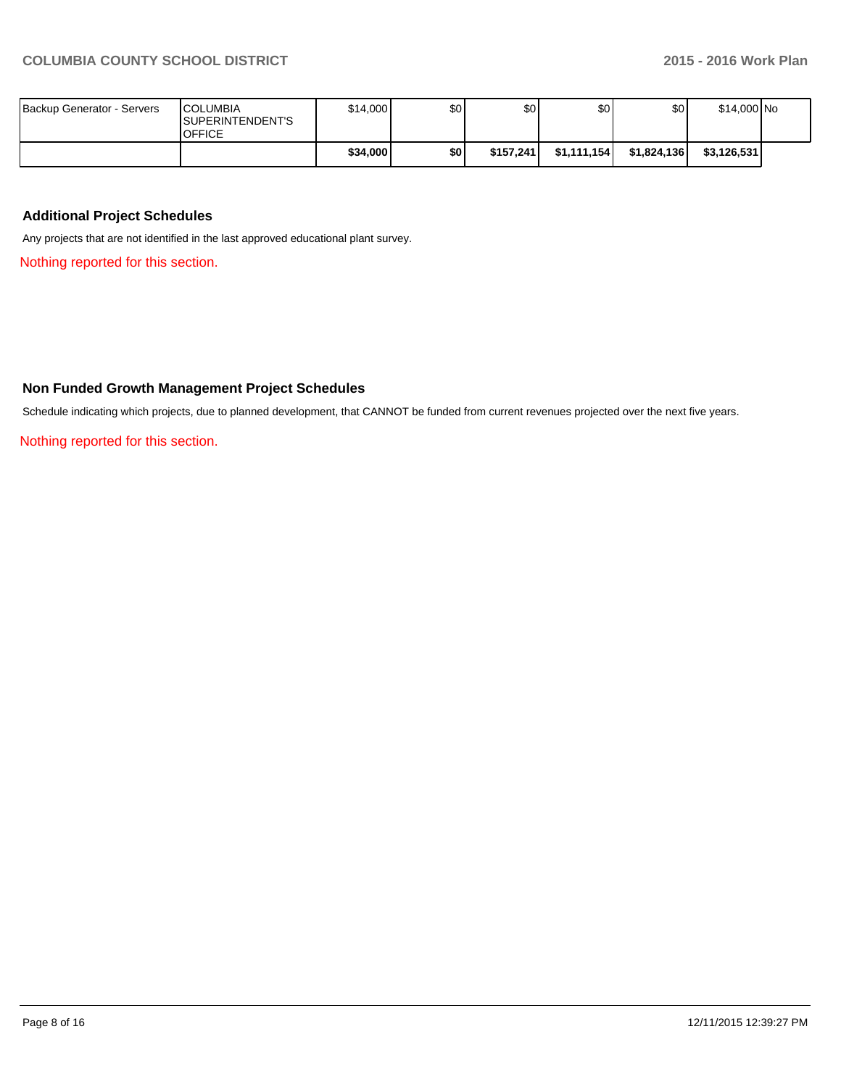| Backup Generator - Servers | <b>ICOLUMBIA</b><br><b>ISUPERINTENDENT'S</b><br><b>OFFICE</b> | \$14,000 | \$0 | \$0       | \$0          | \$0         | \$14,000 No |  |
|----------------------------|---------------------------------------------------------------|----------|-----|-----------|--------------|-------------|-------------|--|
|                            |                                                               | \$34,000 | \$O | \$157.241 | \$1,111,154] | \$1,824,136 | \$3,126,531 |  |

# **Additional Project Schedules**

Any projects that are not identified in the last approved educational plant survey.

Nothing reported for this section.

# **Non Funded Growth Management Project Schedules**

Schedule indicating which projects, due to planned development, that CANNOT be funded from current revenues projected over the next five years.

Nothing reported for this section.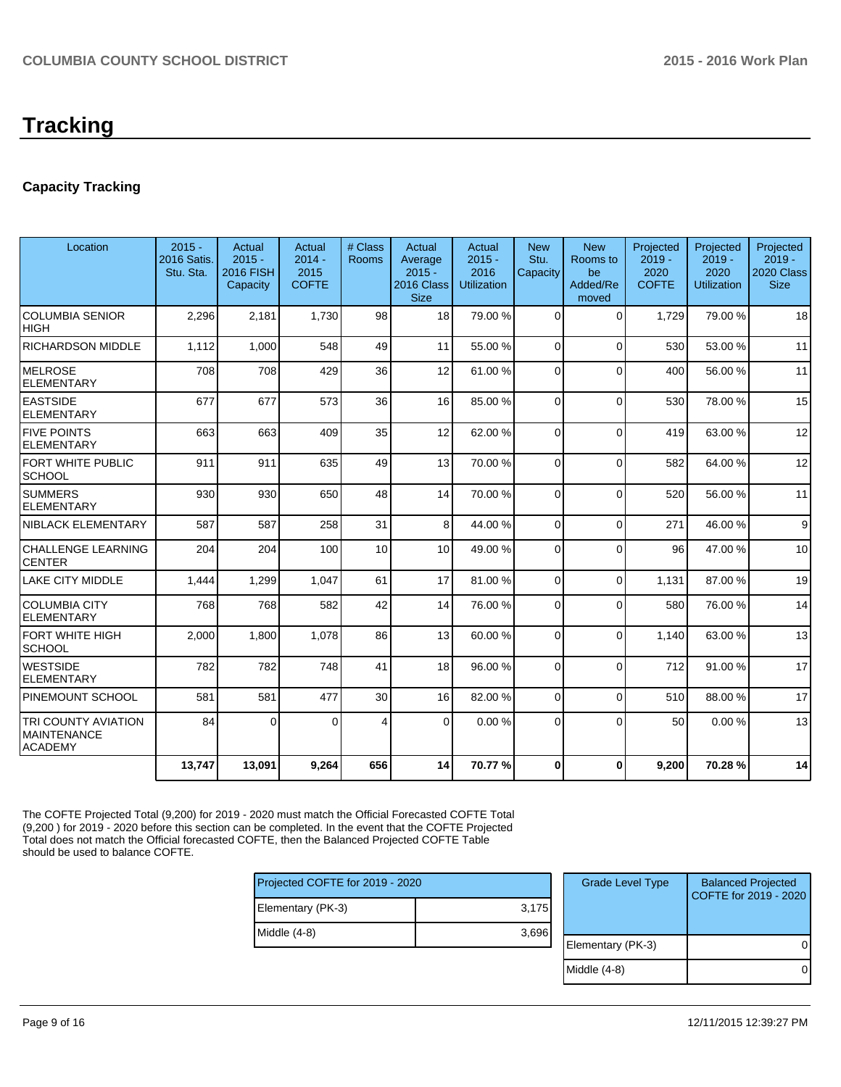# **Capacity Tracking**

| Location                                                           | $2015 -$<br>2016 Satis.<br>Stu. Sta. | Actual<br>$2015 -$<br><b>2016 FISH</b><br>Capacity | Actual<br>$2014 -$<br>2015<br><b>COFTE</b> | # Class<br><b>Rooms</b> | Actual<br>Average<br>$2015 -$<br>2016 Class<br><b>Size</b> | Actual<br>$2015 -$<br>2016<br><b>Utilization</b> | <b>New</b><br>Stu.<br>Capacity | <b>New</b><br>Rooms to<br>be<br>Added/Re<br>moved | Projected<br>$2019 -$<br>2020<br><b>COFTE</b> | Projected<br>$2019 -$<br>2020<br><b>Utilization</b> | Projected<br>$2019 -$<br>2020 Class<br><b>Size</b> |
|--------------------------------------------------------------------|--------------------------------------|----------------------------------------------------|--------------------------------------------|-------------------------|------------------------------------------------------------|--------------------------------------------------|--------------------------------|---------------------------------------------------|-----------------------------------------------|-----------------------------------------------------|----------------------------------------------------|
| <b>COLUMBIA SENIOR</b><br><b>HIGH</b>                              | 2,296                                | 2,181                                              | 1,730                                      | 98                      | 18                                                         | 79.00 %                                          | $\Omega$                       | $\Omega$                                          | 1,729                                         | 79.00 %                                             | 18                                                 |
| <b>RICHARDSON MIDDLE</b>                                           | 1.112                                | 1.000                                              | 548                                        | 49                      | 11                                                         | 55.00 %                                          | $\Omega$                       | $\Omega$                                          | 530                                           | 53.00 %                                             | 11                                                 |
| <b>MELROSE</b><br><b>ELEMENTARY</b>                                | 708                                  | 708                                                | 429                                        | 36                      | 12                                                         | 61.00 %                                          | $\Omega$                       | $\Omega$                                          | 400                                           | 56.00 %                                             | 11                                                 |
| <b>EASTSIDE</b><br><b>ELEMENTARY</b>                               | 677                                  | 677                                                | 573                                        | 36                      | 16                                                         | 85.00 %                                          | $\Omega$                       | $\Omega$                                          | 530                                           | 78.00%                                              | 15                                                 |
| <b>FIVE POINTS</b><br><b>ELEMENTARY</b>                            | 663                                  | 663                                                | 409                                        | 35                      | 12                                                         | 62.00 %                                          | $\Omega$                       | $\Omega$                                          | 419                                           | 63.00 %                                             | 12                                                 |
| FORT WHITE PUBLIC<br><b>SCHOOL</b>                                 | 911                                  | 911                                                | 635                                        | 49                      | 13                                                         | 70.00 %                                          | $\Omega$                       | $\Omega$                                          | 582                                           | 64.00%                                              | 12                                                 |
| <b>SUMMERS</b><br><b>ELEMENTARY</b>                                | 930                                  | 930                                                | 650                                        | 48                      | 14                                                         | 70.00 %                                          | $\Omega$                       | $\Omega$                                          | 520                                           | 56.00 %                                             | 11                                                 |
| NIBLACK ELEMENTARY                                                 | 587                                  | 587                                                | 258                                        | 31                      | 8 <sup>1</sup>                                             | 44.00 %                                          | $\Omega$                       | $\Omega$                                          | 271                                           | 46.00%                                              | 9                                                  |
| <b>CHALLENGE LEARNING</b><br><b>CENTER</b>                         | 204                                  | 204                                                | 100                                        | 10                      | 10 <sup>1</sup>                                            | 49.00 %                                          | 0                              | $\Omega$                                          | 96                                            | 47.00%                                              | 10                                                 |
| <b>LAKE CITY MIDDLE</b>                                            | 1,444                                | 1,299                                              | 1,047                                      | 61                      | 17                                                         | 81.00%                                           | $\overline{0}$                 | $\Omega$                                          | 1,131                                         | 87.00 %                                             | 19                                                 |
| <b>COLUMBIA CITY</b><br><b>ELEMENTARY</b>                          | 768                                  | 768                                                | 582                                        | 42                      | 14                                                         | 76.00 %                                          | $\Omega$                       | $\Omega$                                          | 580                                           | 76.00%                                              | 14                                                 |
| FORT WHITE HIGH<br><b>SCHOOL</b>                                   | 2,000                                | 1,800                                              | 1,078                                      | 86                      | 13                                                         | 60.00 %                                          | 0                              | $\Omega$                                          | 1.140                                         | 63.00 %                                             | 13                                                 |
| <b>WESTSIDE</b><br><b>ELEMENTARY</b>                               | 782                                  | 782                                                | 748                                        | 41                      | 18                                                         | 96.00 %                                          | 0                              | $\Omega$                                          | 712                                           | 91.00%                                              | 17                                                 |
| PINEMOUNT SCHOOL                                                   | 581                                  | 581                                                | 477                                        | 30                      | 16                                                         | 82.00 %                                          | $\Omega$                       | $\Omega$                                          | 510                                           | 88.00%                                              | 17                                                 |
| <b>TRI COUNTY AVIATION</b><br><b>MAINTENANCE</b><br><b>ACADEMY</b> | 84                                   | $\Omega$                                           | $\Omega$                                   | 4                       | $\Omega$                                                   | 0.00%                                            | $\Omega$                       | $\Omega$                                          | 50                                            | 0.00%                                               | 13                                                 |
|                                                                    | 13,747                               | 13,091                                             | 9,264                                      | 656                     | 14                                                         | 70.77 %                                          | $\bf{0}$                       | $\Omega$                                          | 9,200                                         | 70.28%                                              | 14                                                 |

The COFTE Projected Total (9,200) for 2019 - 2020 must match the Official Forecasted COFTE Total (9,200 ) for 2019 - 2020 before this section can be completed. In the event that the COFTE Projected Total does not match the Official forecasted COFTE, then the Balanced Projected COFTE Table should be used to balance COFTE.

| Projected COFTE for 2019 - 2020 |  |  |  |  |  |
|---------------------------------|--|--|--|--|--|
| 3,175                           |  |  |  |  |  |
| 3,696                           |  |  |  |  |  |
|                                 |  |  |  |  |  |
|                                 |  |  |  |  |  |

| <b>Grade Level Type</b> | <b>Balanced Projected</b><br>COFTE for 2019 - 2020 |
|-------------------------|----------------------------------------------------|
| Elementary (PK-3)       |                                                    |
| Middle (4-8)            |                                                    |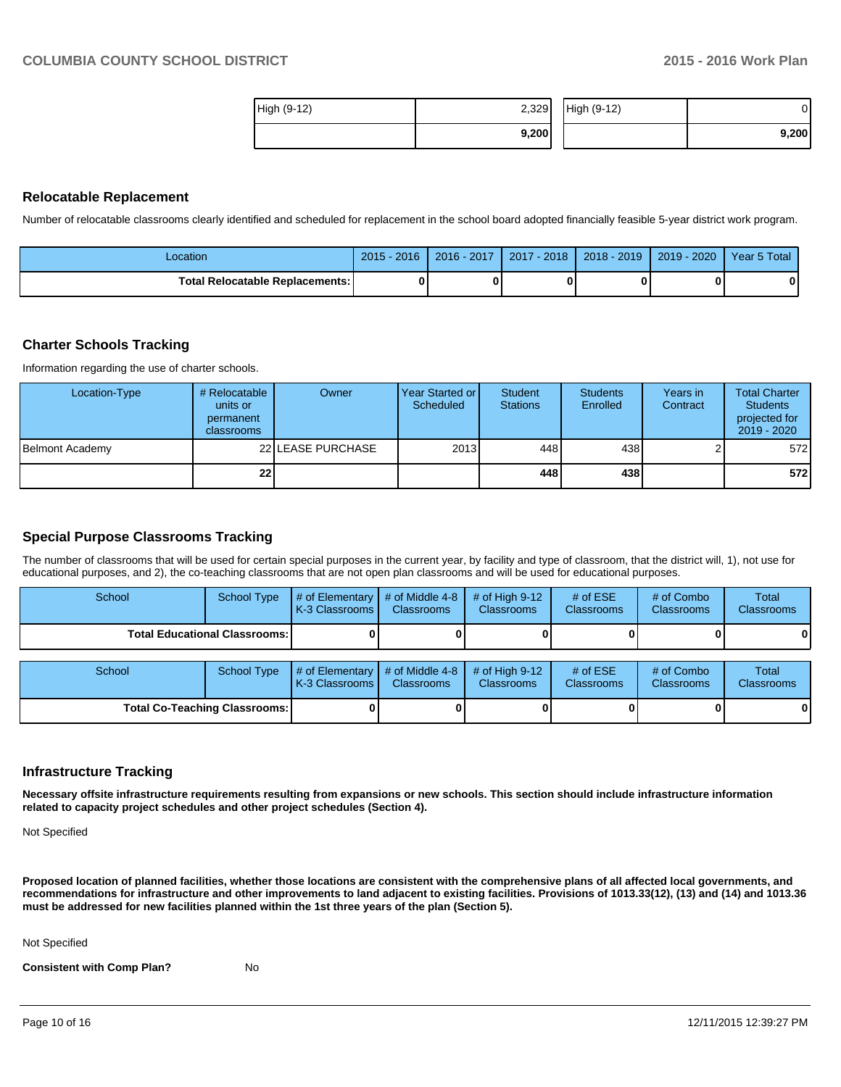| High (9-12) | 2,329 | High (9-12) | JI    |
|-------------|-------|-------------|-------|
|             | 9,200 |             | 9,200 |

#### **Relocatable Replacement**

Number of relocatable classrooms clearly identified and scheduled for replacement in the school board adopted financially feasible 5-year district work program.

| Location                          | 2016<br>2015 | 2016 - 2017 | $-2018$<br>2017 | 2018 - 2019 | 2020<br>$2019 -$ | Year 5 Total |
|-----------------------------------|--------------|-------------|-----------------|-------------|------------------|--------------|
| Total Relocatable Replacements: I |              |             |                 |             |                  |              |

#### **Charter Schools Tracking**

Information regarding the use of charter schools.

| Location-Type   | # Relocatable<br>units or<br>permanent<br>classrooms | Owner             | Year Started or I<br>Scheduled | Student<br><b>Stations</b> | <b>Students</b><br>Enrolled | Years in<br>Contract | <b>Total Charter</b><br><b>Students</b><br>projected for<br>$2019 - 2020$ |
|-----------------|------------------------------------------------------|-------------------|--------------------------------|----------------------------|-----------------------------|----------------------|---------------------------------------------------------------------------|
| Belmont Academy |                                                      | 22 LEASE PURCHASE | 2013                           | 448                        | 438                         |                      | 572                                                                       |
|                 | 22 <sub>1</sub>                                      |                   |                                | 448                        | 438                         |                      | 572                                                                       |

#### **Special Purpose Classrooms Tracking**

The number of classrooms that will be used for certain special purposes in the current year, by facility and type of classroom, that the district will, 1), not use for educational purposes, and 2), the co-teaching classrooms that are not open plan classrooms and will be used for educational purposes.

| School                          | School Type | $\#$ of Elementary $\#$ of Middle 4-8<br><b>K-3 Classrooms L</b> | <b>Classrooms</b> | $\#$ of High 9-12<br><b>Classrooms</b> | # of $ESE$<br><b>Classrooms</b> | # of Combo<br><b>Classrooms</b> | Total<br><b>Classrooms</b> |
|---------------------------------|-------------|------------------------------------------------------------------|-------------------|----------------------------------------|---------------------------------|---------------------------------|----------------------------|
| Total Educational Classrooms: I |             |                                                                  |                   |                                        |                                 |                                 | 01                         |
|                                 |             |                                                                  |                   |                                        |                                 |                                 |                            |
| School                          | School Type | $\#$ of Elementary $\#$ of Middle 4-8<br>K-3 Classrooms          | <b>Classrooms</b> | $\#$ of High 9-12<br><b>Classrooms</b> | # of $ESE$<br><b>Classrooms</b> | # of Combo<br><b>Classrooms</b> | Total<br><b>Classrooms</b> |

**Total Co-Teaching Classrooms: 0 0 0 0 0 0**

#### **Infrastructure Tracking**

**Necessary offsite infrastructure requirements resulting from expansions or new schools. This section should include infrastructure information related to capacity project schedules and other project schedules (Section 4).**

Not Specified

**Proposed location of planned facilities, whether those locations are consistent with the comprehensive plans of all affected local governments, and recommendations for infrastructure and other improvements to land adjacent to existing facilities. Provisions of 1013.33(12), (13) and (14) and 1013.36 must be addressed for new facilities planned within the 1st three years of the plan (Section 5).**

Not Specified

**Consistent with Comp Plan?** No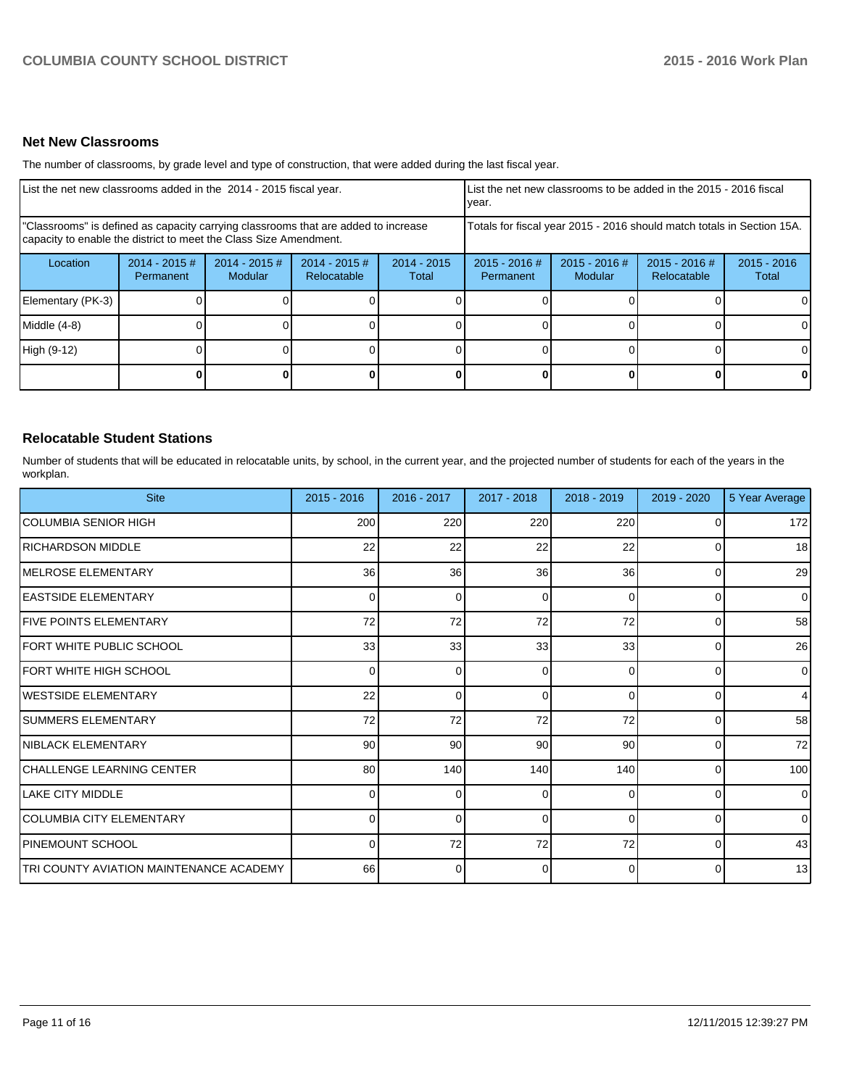## **Net New Classrooms**

The number of classrooms, by grade level and type of construction, that were added during the last fiscal year.

| List the net new classrooms added in the 2014 - 2015 fiscal year.                                                                                       |                              |                                   |                                |                                                                        | List the net new classrooms to be added in the 2015 - 2016 fiscal<br>Ivear. |                            |                                |                        |
|---------------------------------------------------------------------------------------------------------------------------------------------------------|------------------------------|-----------------------------------|--------------------------------|------------------------------------------------------------------------|-----------------------------------------------------------------------------|----------------------------|--------------------------------|------------------------|
| "Classrooms" is defined as capacity carrying classrooms that are added to increase<br>capacity to enable the district to meet the Class Size Amendment. |                              |                                   |                                | Totals for fiscal year 2015 - 2016 should match totals in Section 15A. |                                                                             |                            |                                |                        |
| Location                                                                                                                                                | $2014 - 2015$ #<br>Permanent | $2014 - 2015$ #<br><b>Modular</b> | $2014 - 2015$ #<br>Relocatable | $2014 - 2015$<br>Total                                                 | $2015 - 2016$ #<br>Permanent                                                | $2015 - 2016$ #<br>Modular | $2015 - 2016$ #<br>Relocatable | $2015 - 2016$<br>Total |
| Elementary (PK-3)                                                                                                                                       |                              |                                   |                                |                                                                        |                                                                             |                            |                                |                        |
| Middle (4-8)                                                                                                                                            |                              |                                   |                                |                                                                        |                                                                             |                            |                                |                        |
| High (9-12)                                                                                                                                             |                              |                                   |                                |                                                                        |                                                                             |                            |                                |                        |
|                                                                                                                                                         |                              |                                   |                                |                                                                        |                                                                             |                            |                                | 0                      |

#### **Relocatable Student Stations**

Number of students that will be educated in relocatable units, by school, in the current year, and the projected number of students for each of the years in the workplan.

| <b>Site</b>                             | $2015 - 2016$   | 2016 - 2017 | 2017 - 2018 | $2018 - 2019$ | $2019 - 2020$  | 5 Year Average |
|-----------------------------------------|-----------------|-------------|-------------|---------------|----------------|----------------|
| ICOLUMBIA SENIOR HIGH                   | 200             | 220         | 220         | 220           | 0              | 172            |
| <b>IRICHARDSON MIDDLE</b>               | 22              | 22          | 22          | 22            | 0              | 18             |
| <b>IMELROSE ELEMENTARY</b>              | 36              | 36          | 36          | 36            | 0              | 29             |
| <b>LEASTSIDE ELEMENTARY</b>             | 0               | $\Omega$    | 0           | $\Omega$      | 0              | $\overline{0}$ |
| <b>IFIVE POINTS ELEMENTARY</b>          | 72              | 72          | 72          | 72            | $\Omega$       | 58             |
| FORT WHITE PUBLIC SCHOOL                | 33 <sup>1</sup> | 33          | 33          | 33            | $\overline{0}$ | 26             |
| FORT WHITE HIGH SCHOOL                  | 0               | $\Omega$    | 0           | $\Omega$      | $\Omega$       | $\overline{0}$ |
| <b>IWESTSIDE ELEMENTARY</b>             | 22              | U           | ∩           | $\Omega$      | 0              | $\overline{4}$ |
| <b>SUMMERS ELEMENTARY</b>               | 72              | 72          | 72          | 72            | 0              | 58             |
| NIBLACK ELEMENTARY                      | 90 <sub>0</sub> | 90          | 90          | 90            | 0              | 72             |
| CHALLENGE LEARNING CENTER               | 80              | 140         | 140         | 140           | 0              | 100            |
| <b>LAKE CITY MIDDLE</b>                 | $\Omega$        | 0           | 0           | $\Omega$      | 0              | $\Omega$       |
| COLUMBIA CITY ELEMENTARY                | 0               | $\Omega$    | $\Omega$    | $\Omega$      | $\Omega$       | $\overline{0}$ |
| <b>PINEMOUNT SCHOOL</b>                 | <sup>o</sup>    | 72          | 72          | 72            | 0              | 43             |
| TRI COUNTY AVIATION MAINTENANCE ACADEMY | 66              | 0           | 0           | $\Omega$      | 0              | 13             |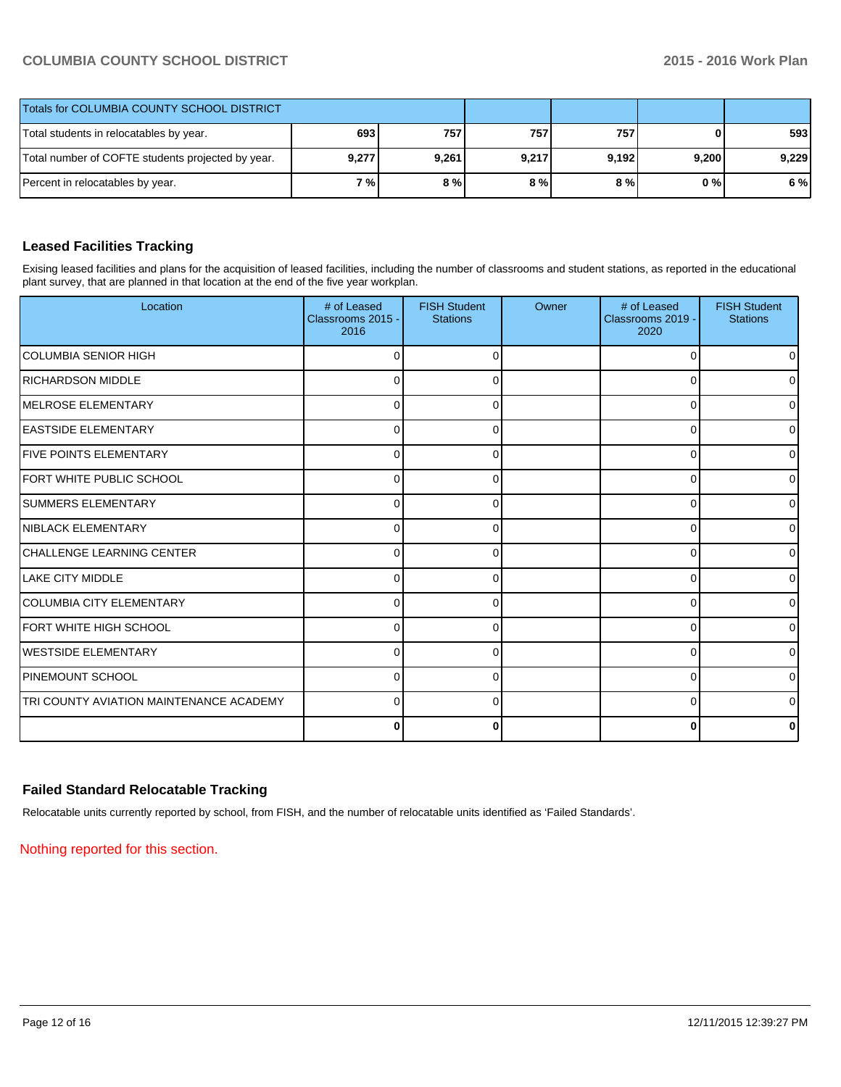| Totals for COLUMBIA COUNTY SCHOOL DISTRICT        |       |       |       |       |       |       |
|---------------------------------------------------|-------|-------|-------|-------|-------|-------|
| Total students in relocatables by year.           | 693   | 757   | 757   | 757   | 0     | 593   |
| Total number of COFTE students projected by year. | 9,277 | 9,261 | 9,217 | 9,192 | 9,200 | 9,229 |
| Percent in relocatables by year.                  | 7 % I | 8%    | 8%    | 8 % I | 0 % I | 6 %   |

# **Leased Facilities Tracking**

Exising leased facilities and plans for the acquisition of leased facilities, including the number of classrooms and student stations, as reported in the educational plant survey, that are planned in that location at the end of the five year workplan.

| Location                                | # of Leased<br>Classrooms 2015 -<br>2016 | <b>FISH Student</b><br><b>Stations</b> | Owner | # of Leased<br>Classrooms 2019 -<br>2020 | <b>FISH Student</b><br><b>Stations</b> |
|-----------------------------------------|------------------------------------------|----------------------------------------|-------|------------------------------------------|----------------------------------------|
| <b>COLUMBIA SENIOR HIGH</b>             |                                          | 0                                      |       | $\Omega$                                 | 01                                     |
| <b>RICHARDSON MIDDLE</b>                | 0                                        | 0                                      |       | 0                                        | 0                                      |
| IMELROSE ELEMENTARY                     | $\Omega$                                 | 0                                      |       | $\Omega$                                 | 01                                     |
| <b>IEASTSIDE ELEMENTARY</b>             | 0                                        | 0                                      |       | 0                                        | $\overline{0}$                         |
| <b>IFIVE POINTS ELEMENTARY</b>          | $\Omega$                                 | 0                                      |       | 0                                        | $\overline{0}$                         |
| <b>IFORT WHITE PUBLIC SCHOOL</b>        | $\Omega$                                 | <sup>0</sup>                           |       | $\Omega$                                 | $\overline{0}$                         |
| <b>SUMMERS ELEMENTARY</b>               | $\Omega$                                 | $\Omega$                               |       | 0                                        | $\overline{0}$                         |
| NIBLACK ELEMENTARY                      | 0                                        |                                        |       | 0                                        | ٥I                                     |
| CHALLENGE LEARNING CENTER               | $\Omega$                                 |                                        |       | 0                                        | $\overline{0}$                         |
| <b>ILAKE CITY MIDDLE</b>                | $\Omega$                                 |                                        |       | 0                                        | $\overline{0}$                         |
| <b>ICOLUMBIA CITY ELEMENTARY</b>        | O                                        |                                        |       | $\Omega$                                 | $\overline{0}$                         |
| <b>IFORT WHITE HIGH SCHOOL</b>          | $\Omega$                                 | 0                                      |       | $\Omega$                                 | $\overline{0}$                         |
| <b>I</b> WESTSIDE ELEMENTARY            | 0                                        | 0                                      |       | $\Omega$                                 | 0                                      |
| <b>PINEMOUNT SCHOOL</b>                 | 0                                        | 0                                      |       | 0                                        | ٥I                                     |
| TRI COUNTY AVIATION MAINTENANCE ACADEMY | $\Omega$                                 | 0                                      |       | $\Omega$                                 | 0                                      |
|                                         | 0                                        | 0                                      |       | 0                                        | 0                                      |

# **Failed Standard Relocatable Tracking**

Relocatable units currently reported by school, from FISH, and the number of relocatable units identified as 'Failed Standards'.

Nothing reported for this section.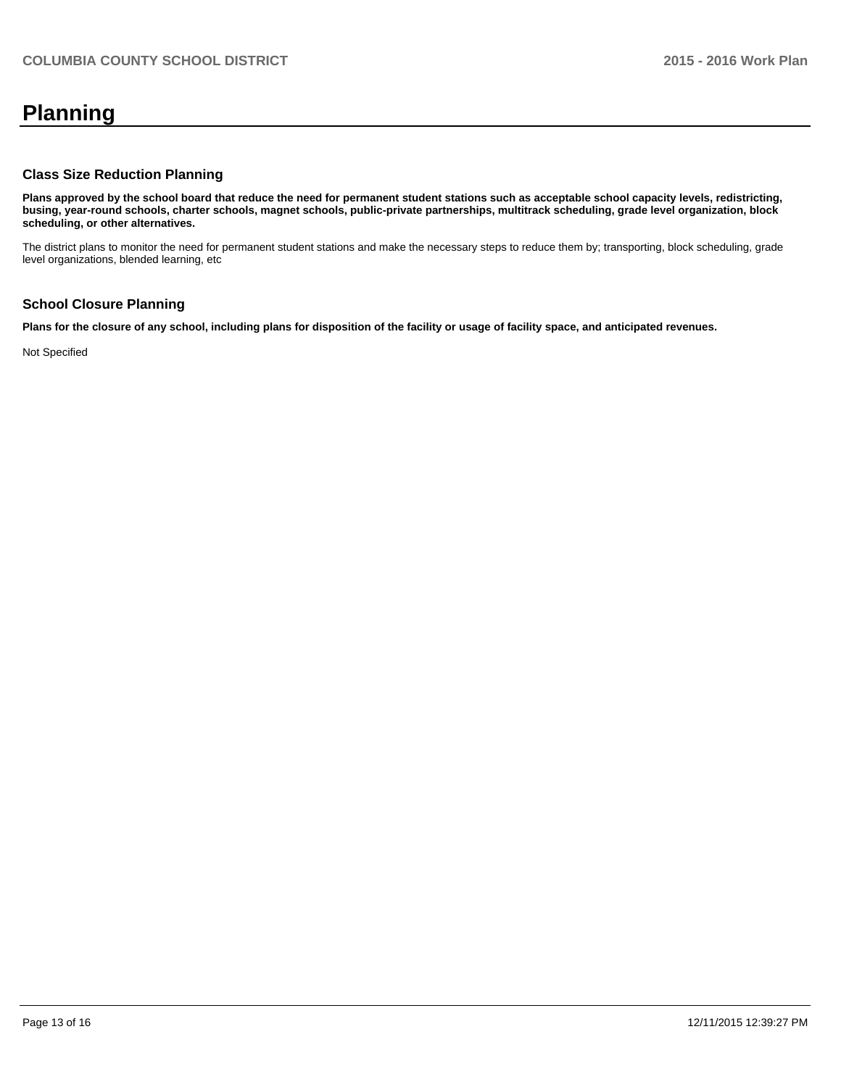# **Planning**

#### **Class Size Reduction Planning**

**Plans approved by the school board that reduce the need for permanent student stations such as acceptable school capacity levels, redistricting, busing, year-round schools, charter schools, magnet schools, public-private partnerships, multitrack scheduling, grade level organization, block scheduling, or other alternatives.**

The district plans to monitor the need for permanent student stations and make the necessary steps to reduce them by; transporting, block scheduling, grade level organizations, blended learning, etc

# **School Closure Planning**

**Plans for the closure of any school, including plans for disposition of the facility or usage of facility space, and anticipated revenues.**

Not Specified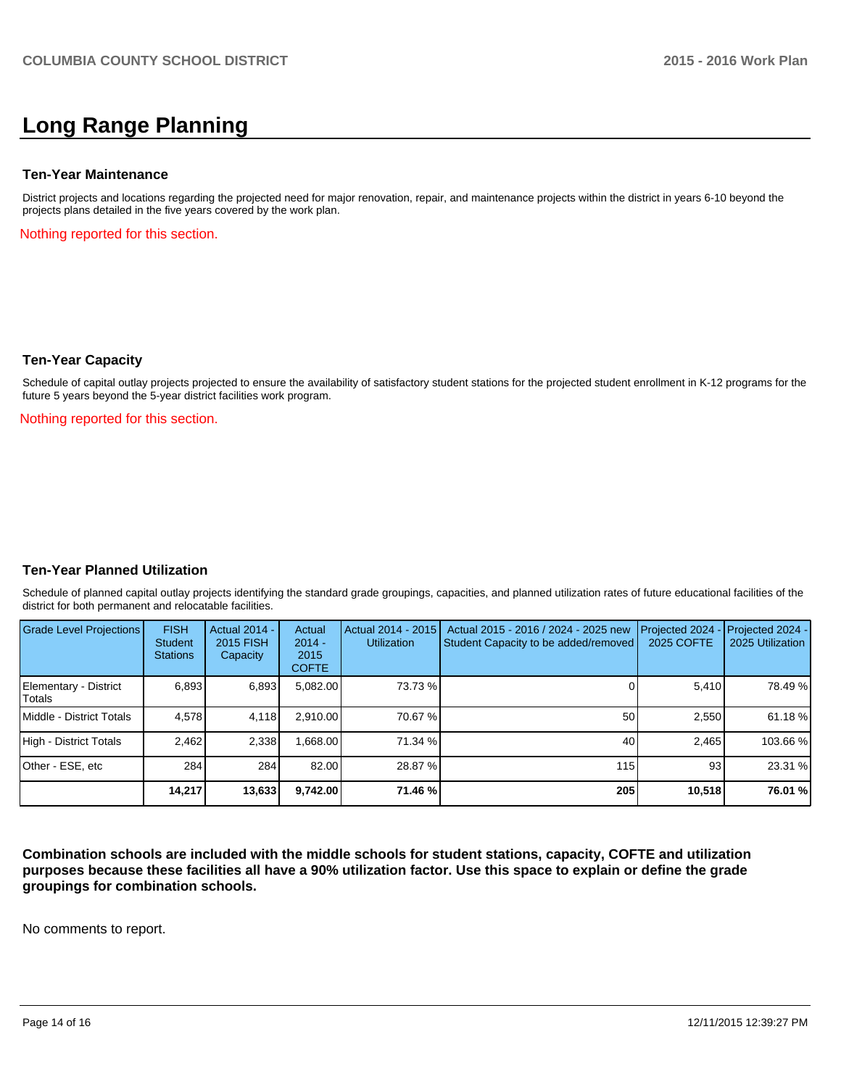# **Long Range Planning**

#### **Ten-Year Maintenance**

District projects and locations regarding the projected need for major renovation, repair, and maintenance projects within the district in years 6-10 beyond the projects plans detailed in the five years covered by the work plan.

Nothing reported for this section.

#### **Ten-Year Capacity**

Schedule of capital outlay projects projected to ensure the availability of satisfactory student stations for the projected student enrollment in K-12 programs for the future 5 years beyond the 5-year district facilities work program.

Nothing reported for this section.

#### **Ten-Year Planned Utilization**

Schedule of planned capital outlay projects identifying the standard grade groupings, capacities, and planned utilization rates of future educational facilities of the district for both permanent and relocatable facilities.

| <b>Grade Level Projections</b>  | <b>FISH</b><br>Student<br><b>Stations</b> | Actual 2014 -<br>2015 FISH<br>Capacity | Actual<br>$2014 -$<br>2015<br><b>COFTE</b> | Actual 2014 - 2015<br><b>Utilization</b> | Actual 2015 - 2016 / 2024 - 2025 new<br>Student Capacity to be added/removed | Projected 2024<br>2025 COFTE | $-$ Projected 2024 -<br>2025 Utilization |
|---------------------------------|-------------------------------------------|----------------------------------------|--------------------------------------------|------------------------------------------|------------------------------------------------------------------------------|------------------------------|------------------------------------------|
| Elementary - District<br>Totals | 6,893                                     | 6,893                                  | 5,082.00                                   | 73.73 %                                  |                                                                              | 5,410                        | 78.49 %                                  |
| Middle - District Totals        | 4.578                                     | 4,118                                  | 2.910.00                                   | 70.67 %                                  | 50                                                                           | 2.550                        | 61.18 %                                  |
| High - District Totals          | 2.462                                     | 2.338                                  | .668.00                                    | 71.34 %                                  | 40                                                                           | 2.465                        | 103.66 %                                 |
| Other - ESE, etc                | 284                                       | 284                                    | 82.00                                      | 28.87 %                                  | 115                                                                          | 93                           | 23.31 %                                  |
|                                 | 14,217                                    | 13,633                                 | 9,742.00                                   | 71.46 %                                  | 205                                                                          | 10,518                       | 76.01 %                                  |

**Combination schools are included with the middle schools for student stations, capacity, COFTE and utilization purposes because these facilities all have a 90% utilization factor. Use this space to explain or define the grade groupings for combination schools.**

No comments to report.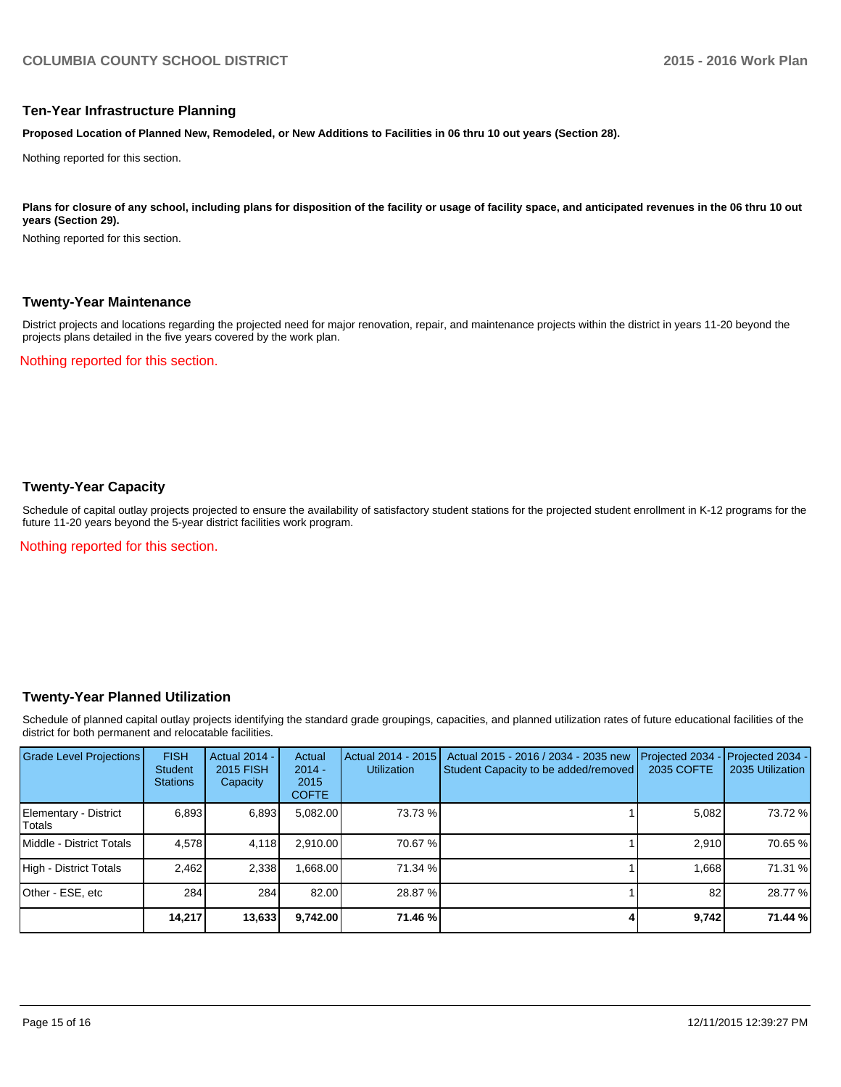#### **Ten-Year Infrastructure Planning**

**Proposed Location of Planned New, Remodeled, or New Additions to Facilities in 06 thru 10 out years (Section 28).**

Nothing reported for this section.

Plans for closure of any school, including plans for disposition of the facility or usage of facility space, and anticipated revenues in the 06 thru 10 out **years (Section 29).**

Nothing reported for this section.

#### **Twenty-Year Maintenance**

District projects and locations regarding the projected need for major renovation, repair, and maintenance projects within the district in years 11-20 beyond the projects plans detailed in the five years covered by the work plan.

Nothing reported for this section.

## **Twenty-Year Capacity**

Schedule of capital outlay projects projected to ensure the availability of satisfactory student stations for the projected student enrollment in K-12 programs for the future 11-20 years beyond the 5-year district facilities work program.

Nothing reported for this section.

#### **Twenty-Year Planned Utilization**

Schedule of planned capital outlay projects identifying the standard grade groupings, capacities, and planned utilization rates of future educational facilities of the district for both permanent and relocatable facilities.

| <b>Grade Level Projections</b>         | <b>FISH</b><br><b>Student</b><br><b>Stations</b> | <b>Actual 2014 -</b><br>2015 FISH<br>Capacity | Actual<br>$2014 -$<br>2015<br><b>COFTE</b> | Actual 2014 - 2015<br><b>Utilization</b> | Actual 2015 - 2016 / 2034 - 2035 new<br>Student Capacity to be added/removed | Projected 2034<br>2035 COFTE | Projected 2034 -<br>2035 Utilization |
|----------------------------------------|--------------------------------------------------|-----------------------------------------------|--------------------------------------------|------------------------------------------|------------------------------------------------------------------------------|------------------------------|--------------------------------------|
| Elementary - District<br><b>Totals</b> | 6,893                                            | 6,893                                         | 5,082.00                                   | 73.73 %                                  |                                                                              | 5,082                        | 73.72 %                              |
| Middle - District Totals               | 4.578                                            | 4.118                                         | 2.910.00                                   | 70.67 %                                  |                                                                              | 2.910                        | 70.65 %                              |
| High - District Totals                 | 2.462                                            | 2.338                                         | .668.00                                    | 71.34 %                                  |                                                                              | 1.668                        | 71.31 %                              |
| Other - ESE, etc                       | 284                                              | 284                                           | 82.00                                      | 28.87 %                                  |                                                                              | 82                           | 28.77 %                              |
|                                        | 14.217                                           | 13,633                                        | 9,742.00                                   | 71.46 %                                  |                                                                              | 9,742                        | 71.44 %                              |